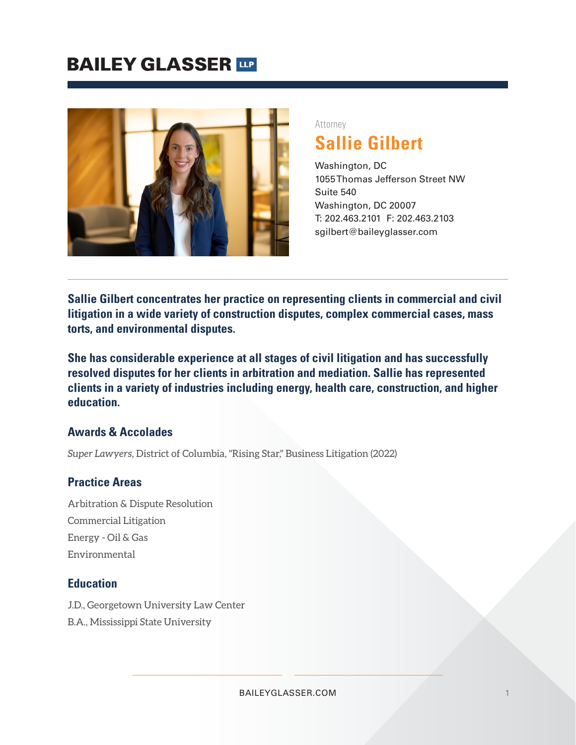# **BAILEY GLASSER TIP**



Attorney

**Sallie Gilbert**

Washington, DC 1055 Thomas Jefferson Street NW Suite 540 Washington, DC 20007 T: 202.463.2101 F: 202.463.2103 sgilbert@baileyglasser.com

**Sallie Gilbert concentrates her practice on representing clients in commercial and civil litigation in a wide variety of construction disputes, complex commercial cases, mass torts, and environmental disputes.**

**She has considerable experience at all stages of civil litigation and has successfully resolved disputes for her clients in arbitration and mediation. Sallie has represented clients in a variety of industries including energy, health care, construction, and higher education.**

### **Awards & Accolades**

*Super Lawyers*, District of Columbia, "Rising Star," Business Litigation (2022)

### **Practice Areas**

Arbitration & Dispute Resolution Commercial Litigation Energy - Oil & Gas Environmental

### **Education**

J.D., Georgetown University Law Center

B.A., Mississippi State University